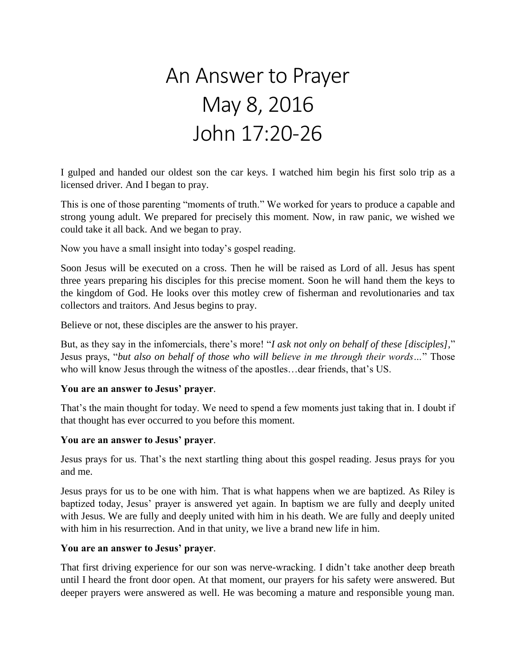# An Answer to Prayer May 8, 2016 John 17:20-26

I gulped and handed our oldest son the car keys. I watched him begin his first solo trip as a licensed driver. And I began to pray.

This is one of those parenting "moments of truth." We worked for years to produce a capable and strong young adult. We prepared for precisely this moment. Now, in raw panic, we wished we could take it all back. And we began to pray.

Now you have a small insight into today's gospel reading.

Soon Jesus will be executed on a cross. Then he will be raised as Lord of all. Jesus has spent three years preparing his disciples for this precise moment. Soon he will hand them the keys to the kingdom of God. He looks over this motley crew of fisherman and revolutionaries and tax collectors and traitors. And Jesus begins to pray.

Believe or not, these disciples are the answer to his prayer.

But, as they say in the infomercials, there's more! "*I ask not only on behalf of these [disciples],*" Jesus prays, "*but also on behalf of those who will believe in me through their words…*" Those who will know Jesus through the witness of the apostles…dear friends, that's US.

### **You are an answer to Jesus' prayer**.

That's the main thought for today. We need to spend a few moments just taking that in. I doubt if that thought has ever occurred to you before this moment.

#### **You are an answer to Jesus' prayer**.

Jesus prays for us. That's the next startling thing about this gospel reading. Jesus prays for you and me.

Jesus prays for us to be one with him. That is what happens when we are baptized. As Riley is baptized today, Jesus' prayer is answered yet again. In baptism we are fully and deeply united with Jesus. We are fully and deeply united with him in his death. We are fully and deeply united with him in his resurrection. And in that unity, we live a brand new life in him.

### **You are an answer to Jesus' prayer**.

That first driving experience for our son was nerve-wracking. I didn't take another deep breath until I heard the front door open. At that moment, our prayers for his safety were answered. But deeper prayers were answered as well. He was becoming a mature and responsible young man.